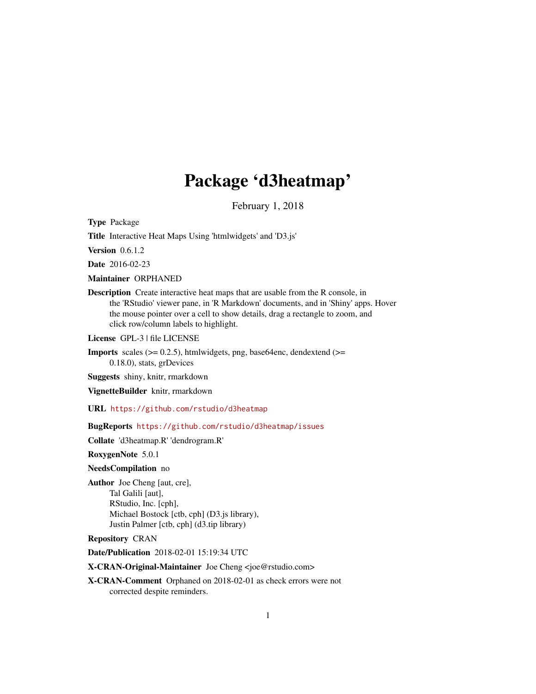# Package 'd3heatmap'

February 1, 2018

<span id="page-0-0"></span>Type Package

Title Interactive Heat Maps Using 'htmlwidgets' and 'D3.js'

**Version** 0.6.1.2

Date 2016-02-23

Maintainer ORPHANED

Description Create interactive heat maps that are usable from the R console, in the 'RStudio' viewer pane, in 'R Markdown' documents, and in 'Shiny' apps. Hover the mouse pointer over a cell to show details, drag a rectangle to zoom, and click row/column labels to highlight.

License GPL-3 | file LICENSE

**Imports** scales ( $>= 0.2.5$ ), htmlwidgets, png, base64enc, dendextend ( $>=$ 0.18.0), stats, grDevices

Suggests shiny, knitr, rmarkdown

VignetteBuilder knitr, rmarkdown

URL <https://github.com/rstudio/d3heatmap>

BugReports <https://github.com/rstudio/d3heatmap/issues>

Collate 'd3heatmap.R' 'dendrogram.R'

RoxygenNote 5.0.1

#### NeedsCompilation no

Author Joe Cheng [aut, cre], Tal Galili [aut], RStudio, Inc. [cph], Michael Bostock [ctb, cph] (D3.js library), Justin Palmer [ctb, cph] (d3.tip library)

#### Repository CRAN

Date/Publication 2018-02-01 15:19:34 UTC

X-CRAN-Original-Maintainer Joe Cheng <joe@rstudio.com>

X-CRAN-Comment Orphaned on 2018-02-01 as check errors were not corrected despite reminders.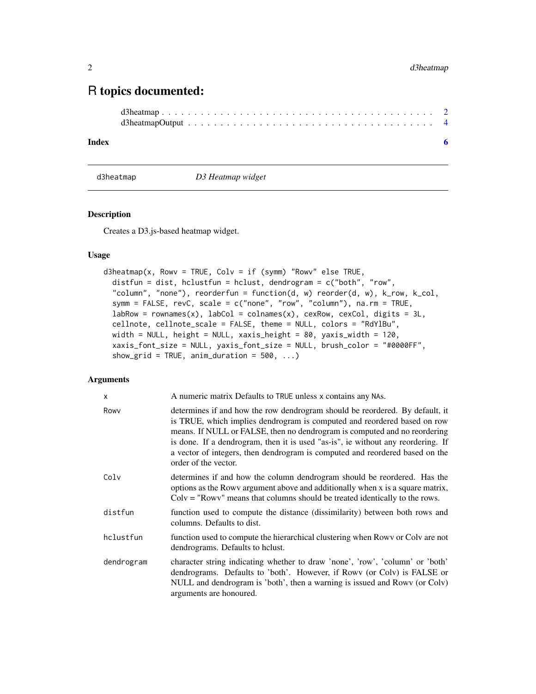# <span id="page-1-0"></span>R topics documented:

```
d3heatmap . . . . . . . . . . . . . . . . . . . . . . . . . . . . . . . . . . . . . . . . . . 2
d3heatmapOutput . . . . . . . . . . . . . . . . . . . . . . . . . . . . . . . . . . . . . . 4
```
#### **Index** [6](#page-5-0) **6**

<span id="page-1-1"></span>d3heatmap *D3 Heatmap widget*

#### Description

Creates a D3.js-based heatmap widget.

#### Usage

```
d3heatmap(x, Rowv = TRUE, Colv = if (symm) "Rowv" else TRUE,
  distfun = dist, hclustfun = hclust, dendrogram = c("both", "row",
  "column", "none"), reorderfun = function(d, w) reorder(d, w), k_row, k_col,
  symm = FALSE, revC, scale = c("none", "row", "column"), na.rm = TRUE,
  labRow = rownames(x), labCol = colnames(x), cexRow, cexCol, digits = 3L,cellnote, cellnote_scale = FALSE, theme = NULL, colors = "RdYlBu",
 width = NULL, height = NULL, xaxis_height = 80, yaxis_width = 120,
 xaxis_font_size = NULL, yaxis_font_size = NULL, brush_color = "#0000FF",
  show_grid = TRUE, anim_duration = 500, ...)
```
#### Arguments

| x          | A numeric matrix Defaults to TRUE unless x contains any NAs.                                                                                                                                                                                                                                                                                                                                                                      |
|------------|-----------------------------------------------------------------------------------------------------------------------------------------------------------------------------------------------------------------------------------------------------------------------------------------------------------------------------------------------------------------------------------------------------------------------------------|
| Rowy       | determines if and how the row dendrogram should be reordered. By default, it<br>is TRUE, which implies dendrogram is computed and reordered based on row<br>means. If NULL or FALSE, then no dendrogram is computed and no reordering<br>is done. If a dendrogram, then it is used "as-is", ie without any reordering. If<br>a vector of integers, then dendrogram is computed and reordered based on the<br>order of the vector. |
| Colv       | determines if and how the column dendrogram should be reordered. Has the<br>options as the Rowy argument above and additionally when x is a square matrix,<br>$Colv = "Rowv"$ means that columns should be treated identically to the rows.                                                                                                                                                                                       |
| distfun    | function used to compute the distance (dissimilarity) between both rows and<br>columns. Defaults to dist.                                                                                                                                                                                                                                                                                                                         |
| hclustfun  | function used to compute the hierarchical clustering when Rowy or Colv are not<br>dendrograms. Defaults to helust.                                                                                                                                                                                                                                                                                                                |
| dendrogram | character string indicating whether to draw 'none', 'row', 'column' or 'both'<br>dendrograms. Defaults to 'both'. However, if Rowy (or Colv) is FALSE or<br>NULL and dendrogram is 'both', then a warning is issued and Rowy (or Colv)<br>arguments are honoured.                                                                                                                                                                 |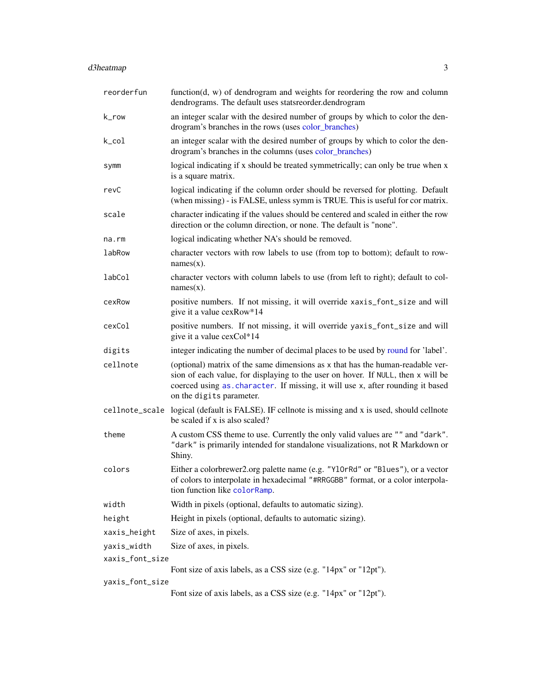# <span id="page-2-0"></span>d3heatmap 3

| reorderfun      | function $(d, w)$ of dendrogram and weights for reordering the row and column<br>dendrograms. The default uses statsreorder.dendrogram                                                                                                                                           |  |  |
|-----------------|----------------------------------------------------------------------------------------------------------------------------------------------------------------------------------------------------------------------------------------------------------------------------------|--|--|
| k_row           | an integer scalar with the desired number of groups by which to color the den-<br>drogram's branches in the rows (uses color_branches)                                                                                                                                           |  |  |
| $k$ _col        | an integer scalar with the desired number of groups by which to color the den-<br>drogram's branches in the columns (uses color_branches)                                                                                                                                        |  |  |
| symm            | logical indicating if x should be treated symmetrically; can only be true when x<br>is a square matrix.                                                                                                                                                                          |  |  |
| revC            | logical indicating if the column order should be reversed for plotting. Default<br>(when missing) - is FALSE, unless symm is TRUE. This is useful for cor matrix.                                                                                                                |  |  |
| scale           | character indicating if the values should be centered and scaled in either the row<br>direction or the column direction, or none. The default is "none".                                                                                                                         |  |  |
| na.rm           | logical indicating whether NA's should be removed.                                                                                                                                                                                                                               |  |  |
| labRow          | character vectors with row labels to use (from top to bottom); default to row-<br>$names(x)$ .                                                                                                                                                                                   |  |  |
| labCol          | character vectors with column labels to use (from left to right); default to col-<br>$names(x)$ .                                                                                                                                                                                |  |  |
| cexRow          | positive numbers. If not missing, it will override xaxis_font_size and will<br>give it a value cexRow*14                                                                                                                                                                         |  |  |
| cexCol          | positive numbers. If not missing, it will override yaxis_font_size and will<br>give it a value cexCol*14                                                                                                                                                                         |  |  |
| digits          | integer indicating the number of decimal places to be used by round for 'label'.                                                                                                                                                                                                 |  |  |
| cellnote        | (optional) matrix of the same dimensions as x that has the human-readable ver-<br>sion of each value, for displaying to the user on hover. If NULL, then x will be<br>coerced using as character. If missing, it will use x, after rounding it based<br>on the digits parameter. |  |  |
|                 | cellnote_scale logical (default is FALSE). IF cellnote is missing and x is used, should cellnote<br>be scaled if x is also scaled?                                                                                                                                               |  |  |
| theme           | A custom CSS theme to use. Currently the only valid values are "" and "dark".<br>"dark" is primarily intended for standalone visualizations, not R Markdown or<br>Shiny.                                                                                                         |  |  |
| colors          | Either a colorbrewer2.org palette name (e.g. "Y10rRd" or "Blues"), or a vector<br>of colors to interpolate in hexadecimal "#RRGGBB" format, or a color interpola-<br>tion function like colorRamp.                                                                               |  |  |
| width           | Width in pixels (optional, defaults to automatic sizing).                                                                                                                                                                                                                        |  |  |
| height          | Height in pixels (optional, defaults to automatic sizing).                                                                                                                                                                                                                       |  |  |
| xaxis_height    | Size of axes, in pixels.                                                                                                                                                                                                                                                         |  |  |
| yaxis_width     | Size of axes, in pixels.                                                                                                                                                                                                                                                         |  |  |
| xaxis_font_size |                                                                                                                                                                                                                                                                                  |  |  |
|                 | Font size of axis labels, as a CSS size (e.g. "14px" or "12pt").                                                                                                                                                                                                                 |  |  |
| yaxis_font_size | Font size of axis labels, as a CSS size (e.g. "14px" or "12pt").                                                                                                                                                                                                                 |  |  |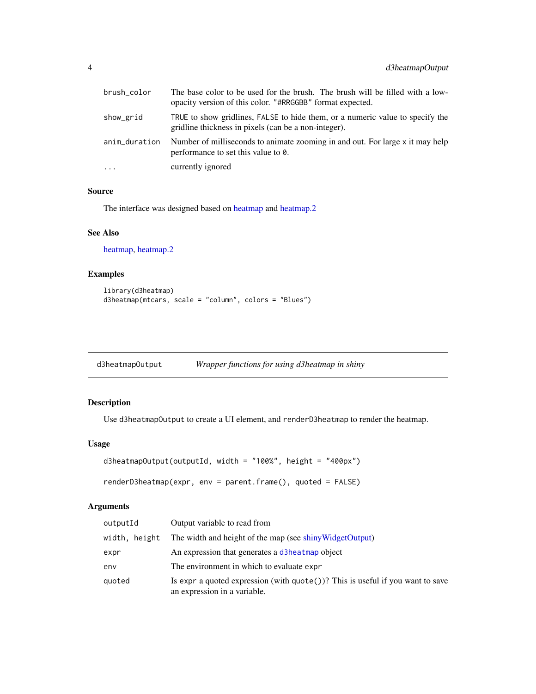<span id="page-3-0"></span>

| brush_color   | The base color to be used for the brush. The brush will be filled with a low-<br>opacity version of this color. "#RRGGBB" format expected. |
|---------------|--------------------------------------------------------------------------------------------------------------------------------------------|
| show_grid     | TRUE to show gridlines, FALSE to hide them, or a numeric value to specify the<br>gridline thickness in pixels (can be a non-integer).      |
| anim_duration | Number of milliseconds to animate zooming in and out. For large x it may help<br>performance to set this value to 0.                       |
| $\cdots$      | currently ignored                                                                                                                          |

#### Source

The interface was designed based on [heatmap](#page-0-0) and [heatmap.2](#page-0-0)

#### See Also

[heatmap,](#page-0-0) [heatmap.2](#page-0-0)

#### Examples

```
library(d3heatmap)
d3heatmap(mtcars, scale = "column", colors = "Blues")
```

| d3heatmap0utput |  | Wrapper functions for using d3heatmap in shiny |  |
|-----------------|--|------------------------------------------------|--|
|                 |  |                                                |  |

### Description

Use d3heatmapOutput to create a UI element, and renderD3heatmap to render the heatmap.

#### Usage

```
d3heatmapOutput(outputId, width = "100%", height = "400px")
```

```
renderD3heatmap(expr, env = parent.frame(), quoted = FALSE)
```
## Arguments

| outputId      | Output variable to read from                                                                                             |
|---------------|--------------------------------------------------------------------------------------------------------------------------|
| width, height | The width and height of the map (see shiny Widget Output)                                                                |
| expr          | An expression that generates a d3heatmap object                                                                          |
| env           | The environment in which to evaluate expr                                                                                |
| quoted        | Is expr a quoted expression (with $\text{quote}()$ )? This is useful if you want to save<br>an expression in a variable. |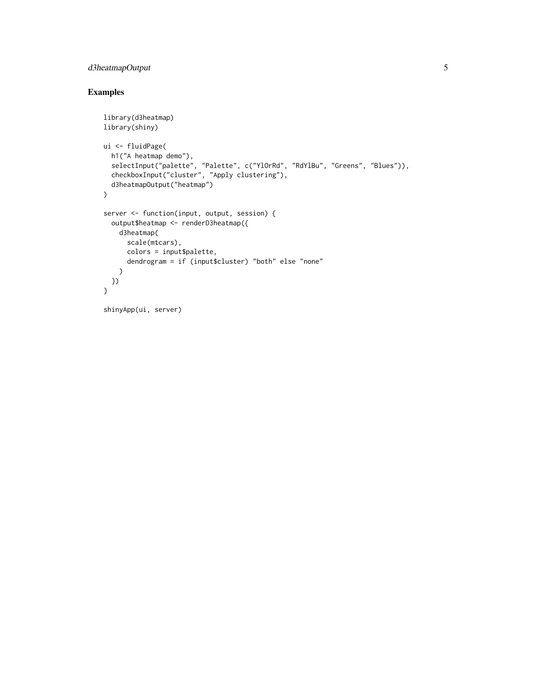# d3heatmapOutput 5

# Examples

```
library(d3heatmap)
library(shiny)
ui <- fluidPage(
  h1("A heatmap demo"),
  selectInput("palette", "Palette", c("YlOrRd", "RdYlBu", "Greens", "Blues")),
  checkboxInput("cluster", "Apply clustering"),
  d3heatmapOutput("heatmap")
\mathcal{L}server <- function(input, output, session) {
  output$heatmap <- renderD3heatmap({
   d3heatmap(
      scale(mtcars),
      colors = input$palette,
      dendrogram = if (input$cluster) "both" else "none"
    )
 })
}
shinyApp(ui, server)
```